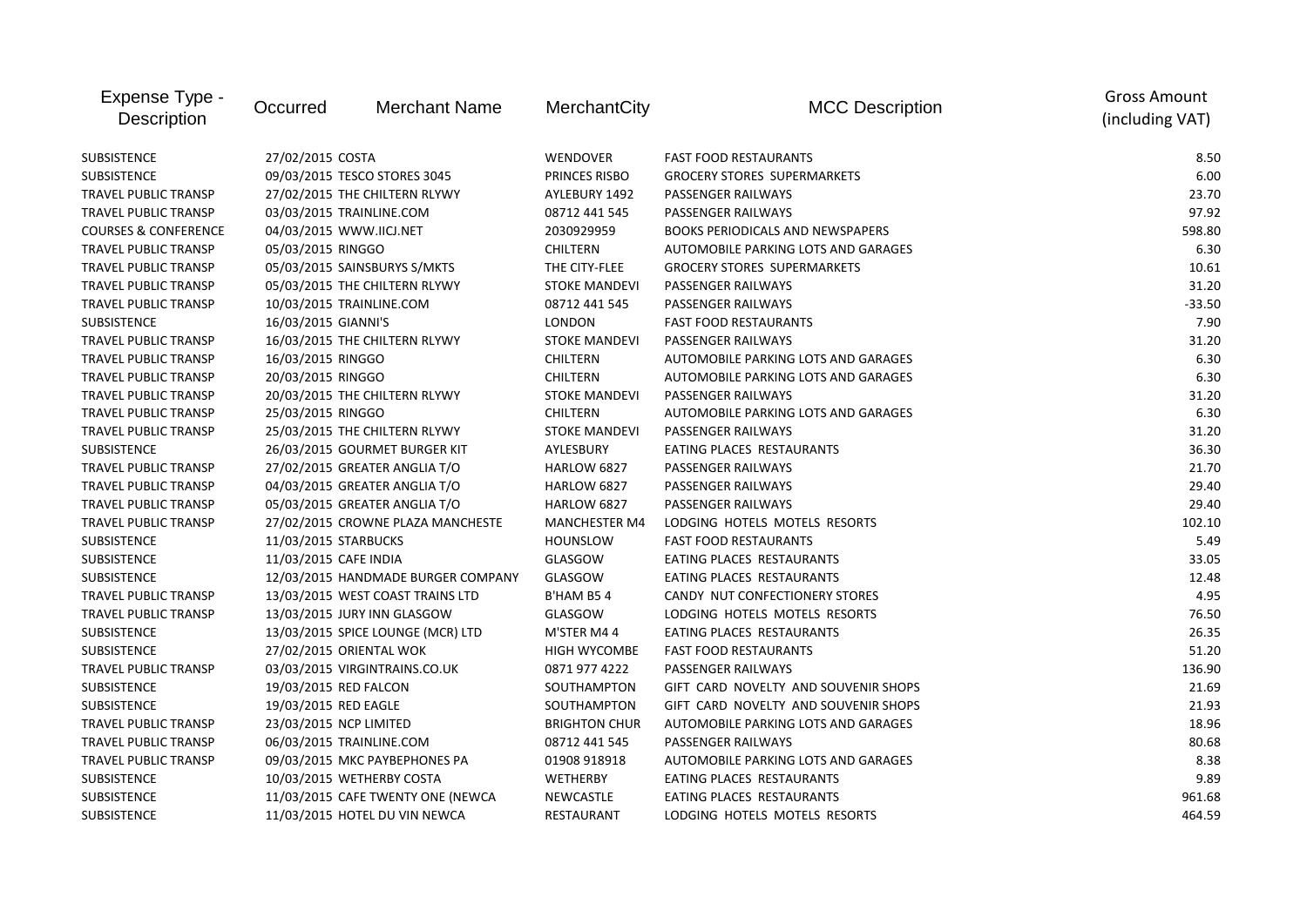| Expense Type -<br><b>Description</b> | Occurred                     | <b>Merchant Name</b>               | MerchantCity         | <b>MCC Description</b>               | <b>Gross Amount</b><br>(including VAT) |
|--------------------------------------|------------------------------|------------------------------------|----------------------|--------------------------------------|----------------------------------------|
| SUBSISTENCE                          | 27/02/2015 COSTA             |                                    | WENDOVER             | <b>FAST FOOD RESTAURANTS</b>         | 8.50                                   |
| <b>SUBSISTENCE</b>                   | 09/03/2015 TESCO STORES 3045 |                                    | PRINCES RISBO        | <b>GROCERY STORES SUPERMARKETS</b>   | 6.00                                   |
| TRAVEL PUBLIC TRANSP                 |                              | 27/02/2015 THE CHILTERN RLYWY      | AYLEBURY 1492        | PASSENGER RAILWAYS                   | 23.70                                  |
| TRAVEL PUBLIC TRANSP                 |                              | 03/03/2015 TRAINLINE.COM           | 08712 441 545        | PASSENGER RAILWAYS                   | 97.92                                  |
| <b>COURSES &amp; CONFERENCE</b>      | 04/03/2015 WWW.IICJ.NET      |                                    | 2030929959           | BOOKS PERIODICALS AND NEWSPAPERS     | 598.80                                 |
| TRAVEL PUBLIC TRANSP                 | 05/03/2015 RINGGO            |                                    | <b>CHILTERN</b>      | AUTOMOBILE PARKING LOTS AND GARAGES  | 6.30                                   |
| TRAVEL PUBLIC TRANSP                 |                              | 05/03/2015 SAINSBURYS S/MKTS       | THE CITY-FLEE        | <b>GROCERY STORES SUPERMARKETS</b>   | 10.61                                  |
| <b>TRAVEL PUBLIC TRANSP</b>          |                              | 05/03/2015 THE CHILTERN RLYWY      | <b>STOKE MANDEVI</b> | PASSENGER RAILWAYS                   | 31.20                                  |
| <b>TRAVEL PUBLIC TRANSP</b>          |                              | 10/03/2015 TRAINLINE.COM           | 08712 441 545        | PASSENGER RAILWAYS                   | $-33.50$                               |
| <b>SUBSISTENCE</b>                   | 16/03/2015 GIANNI'S          |                                    | <b>LONDON</b>        | <b>FAST FOOD RESTAURANTS</b>         | 7.90                                   |
| <b>TRAVEL PUBLIC TRANSP</b>          |                              | 16/03/2015 THE CHILTERN RLYWY      | <b>STOKE MANDEVI</b> | PASSENGER RAILWAYS                   | 31.20                                  |
| TRAVEL PUBLIC TRANSP                 | 16/03/2015 RINGGO            |                                    | <b>CHILTERN</b>      | AUTOMOBILE PARKING LOTS AND GARAGES  | 6.30                                   |
| <b>TRAVEL PUBLIC TRANSP</b>          | 20/03/2015 RINGGO            |                                    | <b>CHILTERN</b>      | AUTOMOBILE PARKING LOTS AND GARAGES  | 6.30                                   |
| <b>TRAVEL PUBLIC TRANSP</b>          |                              | 20/03/2015 THE CHILTERN RLYWY      | <b>STOKE MANDEVI</b> | PASSENGER RAILWAYS                   | 31.20                                  |
| TRAVEL PUBLIC TRANSP                 | 25/03/2015 RINGGO            |                                    | <b>CHILTERN</b>      | AUTOMOBILE PARKING LOTS AND GARAGES  | 6.30                                   |
| <b>TRAVEL PUBLIC TRANSP</b>          |                              | 25/03/2015 THE CHILTERN RLYWY      | <b>STOKE MANDEVI</b> | PASSENGER RAILWAYS                   | 31.20                                  |
| <b>SUBSISTENCE</b>                   |                              | 26/03/2015 GOURMET BURGER KIT      | AYLESBURY            | EATING PLACES RESTAURANTS            | 36.30                                  |
| TRAVEL PUBLIC TRANSP                 |                              | 27/02/2015 GREATER ANGLIA T/O      | HARLOW 6827          | PASSENGER RAILWAYS                   | 21.70                                  |
| TRAVEL PUBLIC TRANSP                 |                              | 04/03/2015 GREATER ANGLIA T/O      | HARLOW 6827          | PASSENGER RAILWAYS                   | 29.40                                  |
| <b>TRAVEL PUBLIC TRANSP</b>          |                              | 05/03/2015 GREATER ANGLIA T/O      | HARLOW 6827          | PASSENGER RAILWAYS                   | 29.40                                  |
| TRAVEL PUBLIC TRANSP                 |                              | 27/02/2015 CROWNE PLAZA MANCHESTE  | <b>MANCHESTER M4</b> | LODGING HOTELS MOTELS RESORTS        | 102.10                                 |
| <b>SUBSISTENCE</b>                   | 11/03/2015 STARBUCKS         |                                    | <b>HOUNSLOW</b>      | <b>FAST FOOD RESTAURANTS</b>         | 5.49                                   |
| <b>SUBSISTENCE</b>                   | 11/03/2015 CAFE INDIA        |                                    | GLASGOW              | EATING PLACES RESTAURANTS            | 33.05                                  |
| <b>SUBSISTENCE</b>                   |                              | 12/03/2015 HANDMADE BURGER COMPANY | GLASGOW              | EATING PLACES RESTAURANTS            | 12.48                                  |
| <b>TRAVEL PUBLIC TRANSP</b>          |                              | 13/03/2015 WEST COAST TRAINS LTD   | B'HAM B54            | CANDY NUT CONFECTIONERY STORES       | 4.95                                   |
| <b>TRAVEL PUBLIC TRANSP</b>          |                              | 13/03/2015 JURY INN GLASGOW        | GLASGOW              | LODGING HOTELS MOTELS RESORTS        | 76.50                                  |
| <b>SUBSISTENCE</b>                   |                              | 13/03/2015 SPICE LOUNGE (MCR) LTD  | M'STER M44           | EATING PLACES RESTAURANTS            | 26.35                                  |
| <b>SUBSISTENCE</b>                   |                              | 27/02/2015 ORIENTAL WOK            | <b>HIGH WYCOMBE</b>  | <b>FAST FOOD RESTAURANTS</b>         | 51.20                                  |
| <b>TRAVEL PUBLIC TRANSP</b>          |                              | 03/03/2015 VIRGINTRAINS.CO.UK      | 0871 977 4222        | PASSENGER RAILWAYS                   | 136.90                                 |
| <b>SUBSISTENCE</b>                   | 19/03/2015 RED FALCON        |                                    | SOUTHAMPTON          | GIFT CARD NOVELTY AND SOUVENIR SHOPS | 21.69                                  |
| <b>SUBSISTENCE</b>                   | 19/03/2015 RED EAGLE         |                                    | SOUTHAMPTON          | GIFT CARD NOVELTY AND SOUVENIR SHOPS | 21.93                                  |
| TRAVEL PUBLIC TRANSP                 | 23/03/2015 NCP LIMITED       |                                    | <b>BRIGHTON CHUR</b> | AUTOMOBILE PARKING LOTS AND GARAGES  | 18.96                                  |
| <b>TRAVEL PUBLIC TRANSP</b>          |                              | 06/03/2015 TRAINLINE.COM           | 08712 441 545        | PASSENGER RAILWAYS                   | 80.68                                  |
| <b>TRAVEL PUBLIC TRANSP</b>          |                              | 09/03/2015 MKC PAYBEPHONES PA      | 01908 918918         | AUTOMOBILE PARKING LOTS AND GARAGES  | 8.38                                   |
| <b>SUBSISTENCE</b>                   |                              | 10/03/2015 WETHERBY COSTA          | WETHERBY             | EATING PLACES RESTAURANTS            | 9.89                                   |
| <b>SUBSISTENCE</b>                   |                              | 11/03/2015 CAFE TWENTY ONE (NEWCA  | NEWCASTLE            | EATING PLACES RESTAURANTS            | 961.68                                 |
| <b>SUBSISTENCE</b>                   |                              | 11/03/2015 HOTEL DU VIN NEWCA      | <b>RESTAURANT</b>    | LODGING HOTELS MOTELS RESORTS        | 464.59                                 |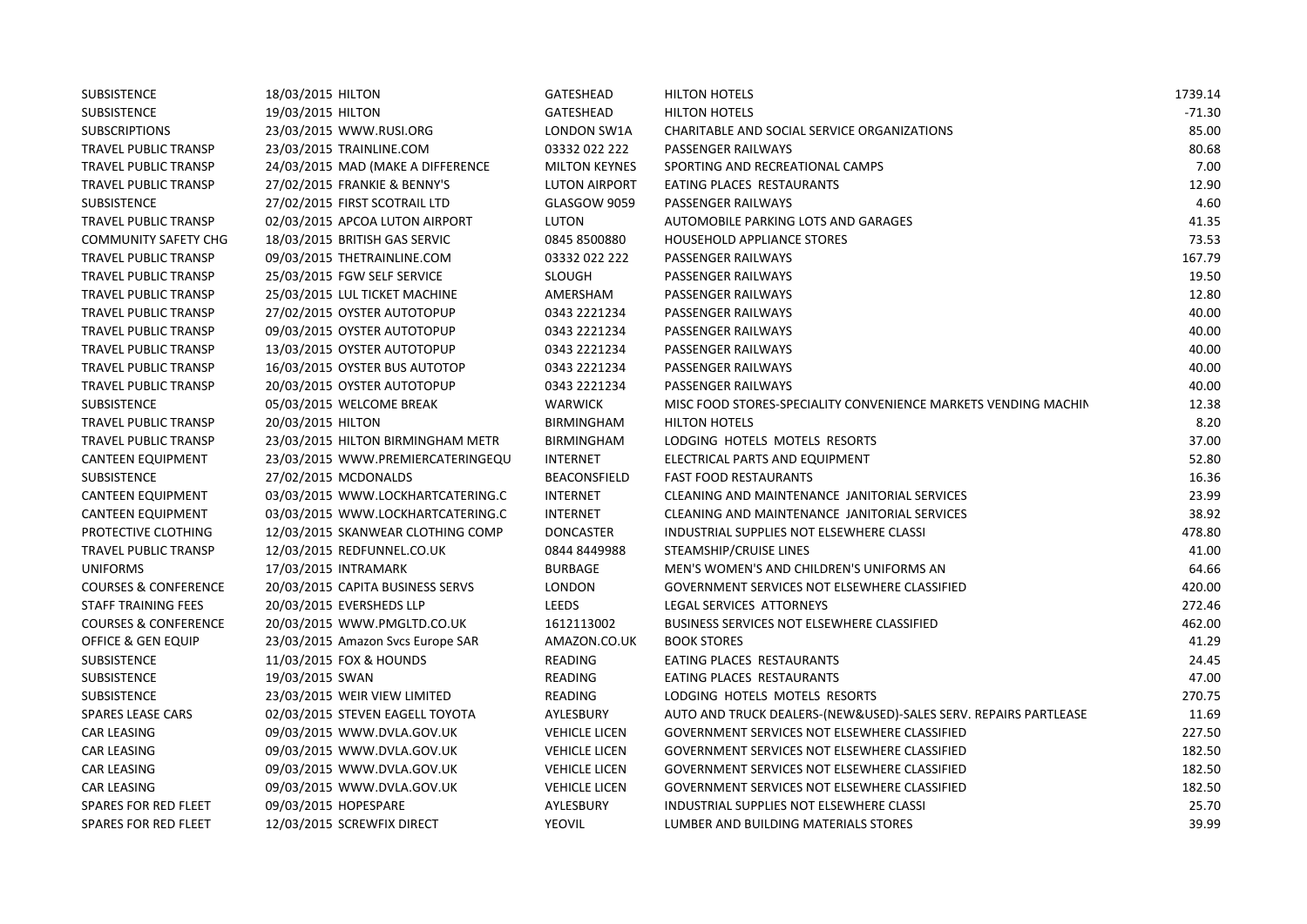| <b>SUBSISTENCE</b>              | 18/03/2015 HILTON                 | GATESHEAD            | <b>HILTON HOTELS</b>                                            | 1739.14  |
|---------------------------------|-----------------------------------|----------------------|-----------------------------------------------------------------|----------|
| <b>SUBSISTENCE</b>              | 19/03/2015 HILTON                 | <b>GATESHEAD</b>     | <b>HILTON HOTELS</b>                                            | $-71.30$ |
| <b>SUBSCRIPTIONS</b>            | 23/03/2015 WWW.RUSI.ORG           | LONDON SW1A          | CHARITABLE AND SOCIAL SERVICE ORGANIZATIONS                     | 85.00    |
| TRAVEL PUBLIC TRANSP            | 23/03/2015 TRAINLINE.COM          | 03332 022 222        | PASSENGER RAILWAYS                                              | 80.68    |
| TRAVEL PUBLIC TRANSP            | 24/03/2015 MAD (MAKE A DIFFERENCE | <b>MILTON KEYNES</b> | SPORTING AND RECREATIONAL CAMPS                                 | 7.00     |
| TRAVEL PUBLIC TRANSP            | 27/02/2015 FRANKIE & BENNY'S      | <b>LUTON AIRPORT</b> | EATING PLACES RESTAURANTS                                       | 12.90    |
| <b>SUBSISTENCE</b>              | 27/02/2015 FIRST SCOTRAIL LTD     | GLASGOW 9059         | PASSENGER RAILWAYS                                              | 4.60     |
| <b>TRAVEL PUBLIC TRANSP</b>     | 02/03/2015 APCOA LUTON AIRPORT    | <b>LUTON</b>         | AUTOMOBILE PARKING LOTS AND GARAGES                             | 41.35    |
| <b>COMMUNITY SAFETY CHG</b>     | 18/03/2015 BRITISH GAS SERVIC     | 0845 8500880         | HOUSEHOLD APPLIANCE STORES                                      | 73.53    |
| TRAVEL PUBLIC TRANSP            | 09/03/2015 THETRAINLINE.COM       | 03332 022 222        | PASSENGER RAILWAYS                                              | 167.79   |
| TRAVEL PUBLIC TRANSP            | 25/03/2015 FGW SELF SERVICE       | <b>SLOUGH</b>        | PASSENGER RAILWAYS                                              | 19.50    |
| <b>TRAVEL PUBLIC TRANSP</b>     | 25/03/2015 LUL TICKET MACHINE     | AMERSHAM             | PASSENGER RAILWAYS                                              | 12.80    |
| <b>TRAVEL PUBLIC TRANSP</b>     | 27/02/2015 OYSTER AUTOTOPUP       | 0343 2221234         | PASSENGER RAILWAYS                                              | 40.00    |
| TRAVEL PUBLIC TRANSP            | 09/03/2015 OYSTER AUTOTOPUP       | 0343 2221234         | PASSENGER RAILWAYS                                              | 40.00    |
| TRAVEL PUBLIC TRANSP            | 13/03/2015 OYSTER AUTOTOPUP       | 0343 2221234         | PASSENGER RAILWAYS                                              | 40.00    |
| TRAVEL PUBLIC TRANSP            | 16/03/2015 OYSTER BUS AUTOTOP     | 0343 2221234         | PASSENGER RAILWAYS                                              | 40.00    |
| TRAVEL PUBLIC TRANSP            | 20/03/2015 OYSTER AUTOTOPUP       | 0343 2221234         | PASSENGER RAILWAYS                                              | 40.00    |
| <b>SUBSISTENCE</b>              | 05/03/2015 WELCOME BREAK          | <b>WARWICK</b>       | MISC FOOD STORES-SPECIALITY CONVENIENCE MARKETS VENDING MACHIN  | 12.38    |
| <b>TRAVEL PUBLIC TRANSP</b>     | 20/03/2015 HILTON                 | <b>BIRMINGHAM</b>    | <b>HILTON HOTELS</b>                                            | 8.20     |
| TRAVEL PUBLIC TRANSP            | 23/03/2015 HILTON BIRMINGHAM METR | <b>BIRMINGHAM</b>    | LODGING HOTELS MOTELS RESORTS                                   | 37.00    |
| <b>CANTEEN EQUIPMENT</b>        | 23/03/2015 WWW.PREMIERCATERINGEQU | <b>INTERNET</b>      | ELECTRICAL PARTS AND EQUIPMENT                                  | 52.80    |
| <b>SUBSISTENCE</b>              | 27/02/2015 MCDONALDS              | <b>BEACONSFIELD</b>  | <b>FAST FOOD RESTAURANTS</b>                                    | 16.36    |
| <b>CANTEEN EQUIPMENT</b>        | 03/03/2015 WWW.LOCKHARTCATERING.C | <b>INTERNET</b>      | CLEANING AND MAINTENANCE JANITORIAL SERVICES                    | 23.99    |
| <b>CANTEEN EQUIPMENT</b>        | 03/03/2015 WWW.LOCKHARTCATERING.C | <b>INTERNET</b>      | CLEANING AND MAINTENANCE JANITORIAL SERVICES                    | 38.92    |
| PROTECTIVE CLOTHING             | 12/03/2015 SKANWEAR CLOTHING COMP | <b>DONCASTER</b>     | INDUSTRIAL SUPPLIES NOT ELSEWHERE CLASSI                        | 478.80   |
| TRAVEL PUBLIC TRANSP            | 12/03/2015 REDFUNNEL.CO.UK        | 0844 8449988         | STEAMSHIP/CRUISE LINES                                          | 41.00    |
| <b>UNIFORMS</b>                 | 17/03/2015 INTRAMARK              | <b>BURBAGE</b>       | MEN'S WOMEN'S AND CHILDREN'S UNIFORMS AN                        | 64.66    |
| <b>COURSES &amp; CONFERENCE</b> | 20/03/2015 CAPITA BUSINESS SERVS  | <b>LONDON</b>        | GOVERNMENT SERVICES NOT ELSEWHERE CLASSIFIED                    | 420.00   |
| <b>STAFF TRAINING FEES</b>      | 20/03/2015 EVERSHEDS LLP          | LEEDS                | LEGAL SERVICES ATTORNEYS                                        | 272.46   |
| <b>COURSES &amp; CONFERENCE</b> | 20/03/2015 WWW.PMGLTD.CO.UK       | 1612113002           | BUSINESS SERVICES NOT ELSEWHERE CLASSIFIED                      | 462.00   |
| OFFICE & GEN EQUIP              | 23/03/2015 Amazon Svcs Europe SAR | AMAZON.CO.UK         | <b>BOOK STORES</b>                                              | 41.29    |
| <b>SUBSISTENCE</b>              | 11/03/2015 FOX & HOUNDS           | READING              | EATING PLACES RESTAURANTS                                       | 24.45    |
| SUBSISTENCE                     | 19/03/2015 SWAN                   | READING              | EATING PLACES RESTAURANTS                                       | 47.00    |
| <b>SUBSISTENCE</b>              | 23/03/2015 WEIR VIEW LIMITED      | READING              | LODGING HOTELS MOTELS RESORTS                                   | 270.75   |
| <b>SPARES LEASE CARS</b>        | 02/03/2015 STEVEN EAGELL TOYOTA   | AYLESBURY            | AUTO AND TRUCK DEALERS-(NEW&USED)-SALES SERV. REPAIRS PARTLEASE | 11.69    |
| <b>CAR LEASING</b>              | 09/03/2015 WWW.DVLA.GOV.UK        | <b>VEHICLE LICEN</b> | GOVERNMENT SERVICES NOT ELSEWHERE CLASSIFIED                    | 227.50   |
| CAR LEASING                     | 09/03/2015 WWW.DVLA.GOV.UK        | <b>VEHICLE LICEN</b> | GOVERNMENT SERVICES NOT ELSEWHERE CLASSIFIED                    | 182.50   |
| CAR LEASING                     | 09/03/2015 WWW.DVLA.GOV.UK        | <b>VEHICLE LICEN</b> | GOVERNMENT SERVICES NOT ELSEWHERE CLASSIFIED                    | 182.50   |
| <b>CAR LEASING</b>              | 09/03/2015 WWW.DVLA.GOV.UK        | <b>VEHICLE LICEN</b> | GOVERNMENT SERVICES NOT ELSEWHERE CLASSIFIED                    | 182.50   |
| SPARES FOR RED FLEET            | 09/03/2015 HOPESPARE              | AYLESBURY            | INDUSTRIAL SUPPLIES NOT ELSEWHERE CLASSI                        | 25.70    |
| SPARES FOR RED FLEET            | 12/03/2015 SCREWFIX DIRECT        | <b>YEOVIL</b>        | LUMBER AND BUILDING MATERIALS STORES                            | 39.99    |
|                                 |                                   |                      |                                                                 |          |